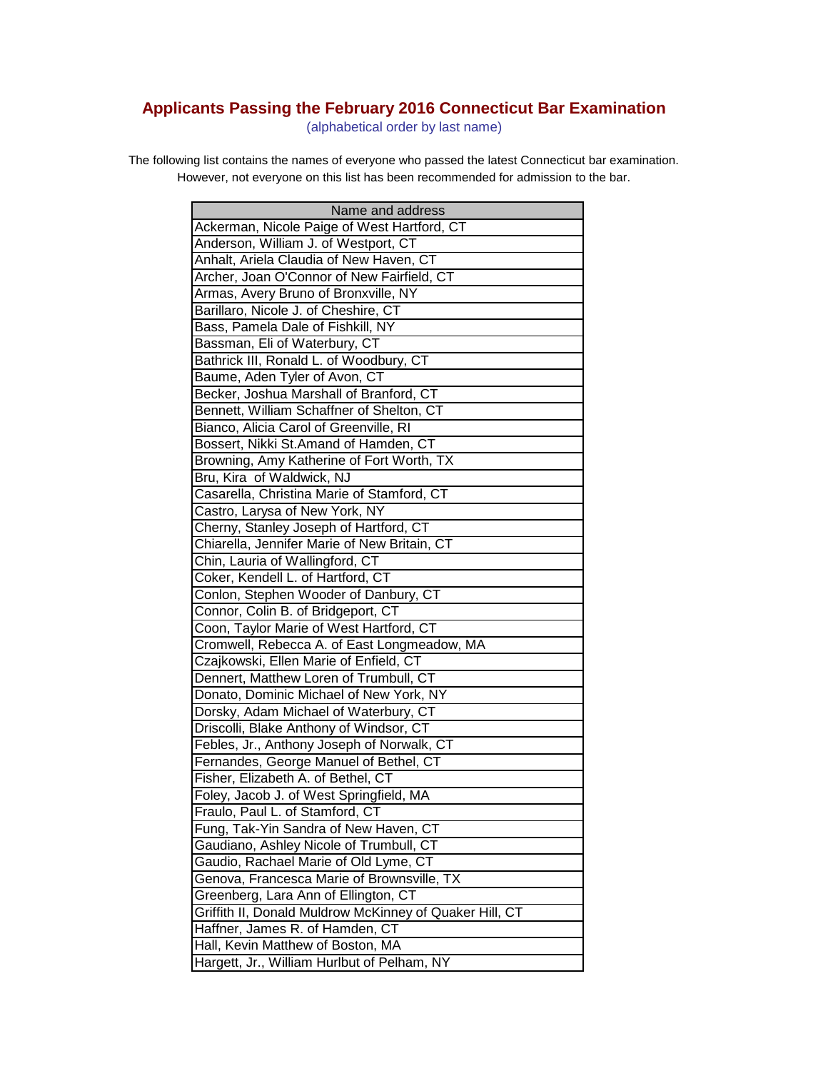## **Applicants Passing the February 2016 Connecticut Bar Examination**

(alphabetical order by last name)

The following list contains the names of everyone who passed the latest Connecticut bar examination. However, not everyone on this list has been recommended for admission to the bar.

| Name and address                                        |
|---------------------------------------------------------|
| Ackerman, Nicole Paige of West Hartford, CT             |
| Anderson, William J. of Westport, CT                    |
| Anhalt, Ariela Claudia of New Haven, CT                 |
| Archer, Joan O'Connor of New Fairfield, CT              |
| Armas, Avery Bruno of Bronxville, NY                    |
| Barillaro, Nicole J. of Cheshire, CT                    |
| Bass, Pamela Dale of Fishkill, NY                       |
| Bassman, Eli of Waterbury, CT                           |
| Bathrick III, Ronald L. of Woodbury, CT                 |
| Baume, Aden Tyler of Avon, CT                           |
| Becker, Joshua Marshall of Branford, CT                 |
| Bennett, William Schaffner of Shelton, CT               |
| Bianco, Alicia Carol of Greenville, RI                  |
| Bossert, Nikki St.Amand of Hamden, CT                   |
| Browning, Amy Katherine of Fort Worth, TX               |
| Bru, Kira of Waldwick, NJ                               |
| Casarella, Christina Marie of Stamford, CT              |
| Castro, Larysa of New York, NY                          |
| Cherny, Stanley Joseph of Hartford, CT                  |
| Chiarella, Jennifer Marie of New Britain, CT            |
| Chin, Lauria of Wallingford, CT                         |
| Coker, Kendell L. of Hartford, CT                       |
| Conlon, Stephen Wooder of Danbury, CT                   |
| Connor, Colin B. of Bridgeport, CT                      |
| Coon, Taylor Marie of West Hartford, CT                 |
| Cromwell, Rebecca A. of East Longmeadow, MA             |
| Czajkowski, Ellen Marie of Enfield, CT                  |
| Dennert, Matthew Loren of Trumbull, CT                  |
| Donato, Dominic Michael of New York, NY                 |
| Dorsky, Adam Michael of Waterbury, CT                   |
| Driscolli, Blake Anthony of Windsor, CT                 |
| Febles, Jr., Anthony Joseph of Norwalk, CT              |
| Fernandes, George Manuel of Bethel, CT                  |
| Fisher, Elizabeth A. of Bethel, CT                      |
| Foley, Jacob J. of West Springfield, MA                 |
| Fraulo, Paul L. of Stamford, CT                         |
| Fung, Tak-Yin Sandra of New Haven, CT                   |
| Gaudiano, Ashley Nicole of Trumbull, CT                 |
| Gaudio, Rachael Marie of Old Lyme, CT                   |
| Genova, Francesca Marie of Brownsville, TX              |
| Greenberg, Lara Ann of Ellington, CT                    |
| Griffith II, Donald Muldrow McKinney of Quaker Hill, CT |
| Haffner, James R. of Hamden, CT                         |
| Hall, Kevin Matthew of Boston, MA                       |
| Hargett, Jr., William Hurlbut of Pelham, NY             |
|                                                         |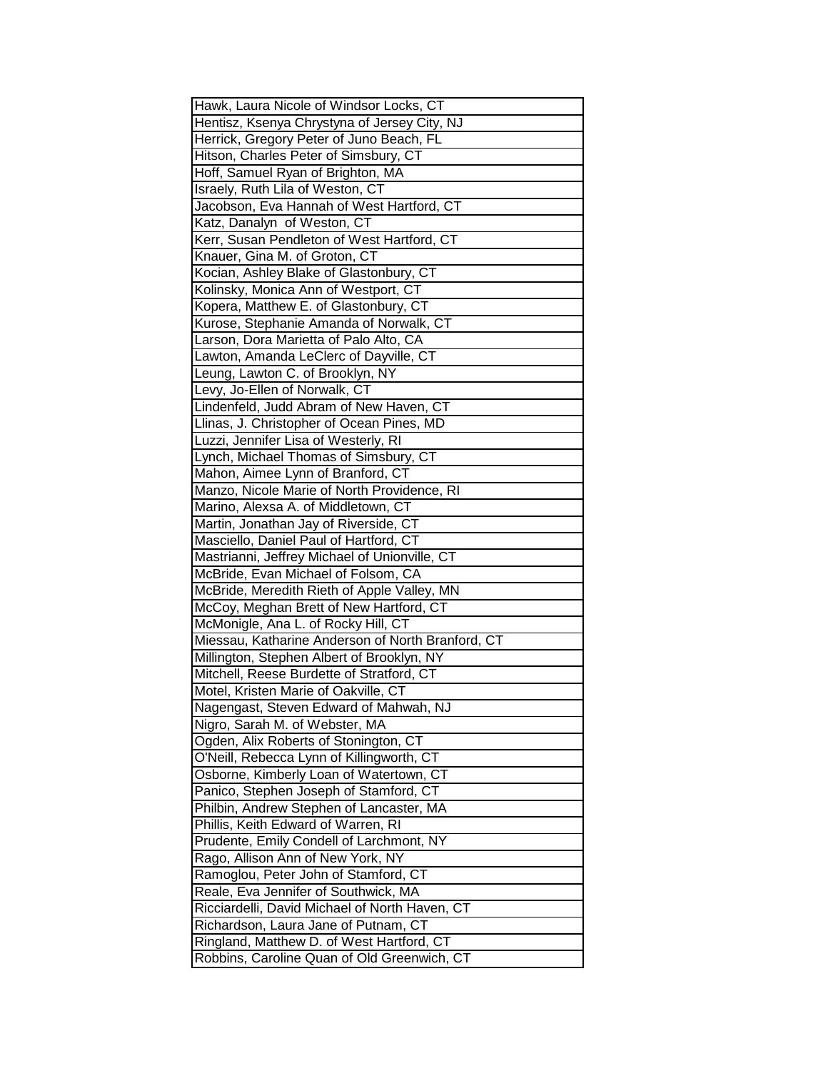| Hawk, Laura Nicole of Windsor Locks, CT           |
|---------------------------------------------------|
| Hentisz, Ksenya Chrystyna of Jersey City, NJ      |
| Herrick, Gregory Peter of Juno Beach, FL          |
| Hitson, Charles Peter of Simsbury, CT             |
| Hoff, Samuel Ryan of Brighton, MA                 |
| Israely, Ruth Lila of Weston, CT                  |
| Jacobson, Eva Hannah of West Hartford, CT         |
| Katz, Danalyn of Weston, CT                       |
| Kerr, Susan Pendleton of West Hartford, CT        |
| Knauer, Gina M. of Groton, CT                     |
| Kocian, Ashley Blake of Glastonbury, CT           |
| Kolinsky, Monica Ann of Westport, CT              |
| Kopera, Matthew E. of Glastonbury, CT             |
| Kurose, Stephanie Amanda of Norwalk, CT           |
| Larson, Dora Marietta of Palo Alto, CA            |
| Lawton, Amanda LeClerc of Dayville, CT            |
| Leung, Lawton C. of Brooklyn, NY                  |
| Levy, Jo-Ellen of Norwalk, CT                     |
| Lindenfeld, Judd Abram of New Haven, CT           |
| Llinas, J. Christopher of Ocean Pines, MD         |
| Luzzi, Jennifer Lisa of Westerly, RI              |
| Lynch, Michael Thomas of Simsbury, CT             |
| Mahon, Aimee Lynn of Branford, CT                 |
| Manzo, Nicole Marie of North Providence, RI       |
|                                                   |
| Marino, Alexsa A. of Middletown, CT               |
| Martin, Jonathan Jay of Riverside, CT             |
| Masciello, Daniel Paul of Hartford, CT            |
| Mastrianni, Jeffrey Michael of Unionville, CT     |
| McBride, Evan Michael of Folsom, CA               |
| McBride, Meredith Rieth of Apple Valley, MN       |
| McCoy, Meghan Brett of New Hartford, CT           |
| McMonigle, Ana L. of Rocky Hill, CT               |
| Miessau, Katharine Anderson of North Branford, CT |
| Millington, Stephen Albert of Brooklyn, NY        |
| Mitchell, Reese Burdette of Stratford, CT         |
| Motel, Kristen Marie of Oakville, CT              |
| Nagengast, Steven Edward of Mahwah, NJ            |
| Nigro, Sarah M. of Webster, MA                    |
| Ogden, Alix Roberts of Stonington, CT             |
| O'Neill, Rebecca Lynn of Killingworth, CT         |
| Osborne, Kimberly Loan of Watertown, CT           |
| Panico, Stephen Joseph of Stamford, CT            |
| Philbin, Andrew Stephen of Lancaster, MA          |
| Phillis, Keith Edward of Warren, RI               |
| Prudente, Emily Condell of Larchmont, NY          |
| Rago, Allison Ann of New York, NY                 |
| Ramoglou, Peter John of Stamford, CT              |
| Reale, Eva Jennifer of Southwick, MA              |
| Ricciardelli, David Michael of North Haven, CT    |
| Richardson, Laura Jane of Putnam, CT              |
| Ringland, Matthew D. of West Hartford, CT         |
| Robbins, Caroline Quan of Old Greenwich, CT       |
|                                                   |